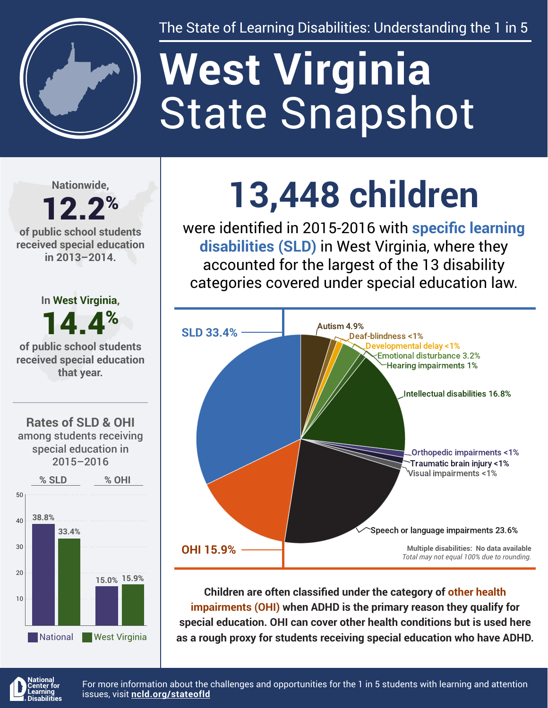

The State of Learning Disabilities: Understanding the 1 in 5

# State Snapshot **West Virginia**

**Nationwide,**

#### 12.2% **of public school students received special education in 2013–2014.**







## **13,448 children**

were identified in 2015-2016 with **specific learning disabilities (SLD)** in West Virginia, where they accounted for the largest of the 13 disability categories covered under special education law.



**Children are often classified under the category of other health impairments (OHI) when ADHD is the primary reason they qualify for special education. OHI can cover other health conditions but is used here as a rough proxy for students receiving special education who have ADHD.**



For more information about the challenges and opportunities for the 1 in 5 students with learning and attention issues, visit **[ncld.org/stateofld](http://ncld.org/stateofld)**